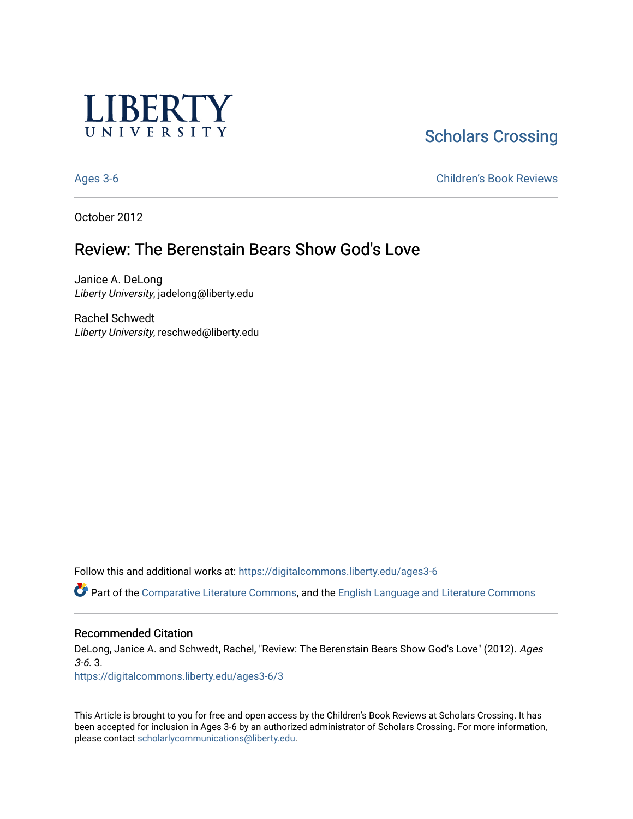

# **Scholars Crossing**

[Ages 3-6](https://digitalcommons.liberty.edu/ages3-6) [Children's Book Reviews](https://digitalcommons.liberty.edu/child_bookrev) 

October 2012

## Review: The Berenstain Bears Show God's Love

Janice A. DeLong Liberty University, jadelong@liberty.edu

Rachel Schwedt Liberty University, reschwed@liberty.edu

Follow this and additional works at: [https://digitalcommons.liberty.edu/ages3-6](https://digitalcommons.liberty.edu/ages3-6?utm_source=digitalcommons.liberty.edu%2Fages3-6%2F3&utm_medium=PDF&utm_campaign=PDFCoverPages) 

Part of the [Comparative Literature Commons](http://network.bepress.com/hgg/discipline/454?utm_source=digitalcommons.liberty.edu%2Fages3-6%2F3&utm_medium=PDF&utm_campaign=PDFCoverPages), and the [English Language and Literature Commons](http://network.bepress.com/hgg/discipline/455?utm_source=digitalcommons.liberty.edu%2Fages3-6%2F3&utm_medium=PDF&utm_campaign=PDFCoverPages)

#### Recommended Citation

DeLong, Janice A. and Schwedt, Rachel, "Review: The Berenstain Bears Show God's Love" (2012). Ages 3-6. 3.

[https://digitalcommons.liberty.edu/ages3-6/3](https://digitalcommons.liberty.edu/ages3-6/3?utm_source=digitalcommons.liberty.edu%2Fages3-6%2F3&utm_medium=PDF&utm_campaign=PDFCoverPages)

This Article is brought to you for free and open access by the Children's Book Reviews at Scholars Crossing. It has been accepted for inclusion in Ages 3-6 by an authorized administrator of Scholars Crossing. For more information, please contact [scholarlycommunications@liberty.edu.](mailto:scholarlycommunications@liberty.edu)